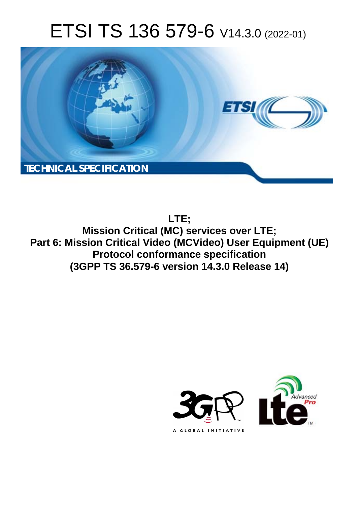# ETSI TS 136 579-6 V14.3.0 (2022-01)



**LTE;**

**Mission Critical (MC) services over LTE; Part 6: Mission Critical Video (MCVideo) User Equipment (UE) Protocol conformance specification (3GPP TS 36.579-6 version 14.3.0 Release 14)** 

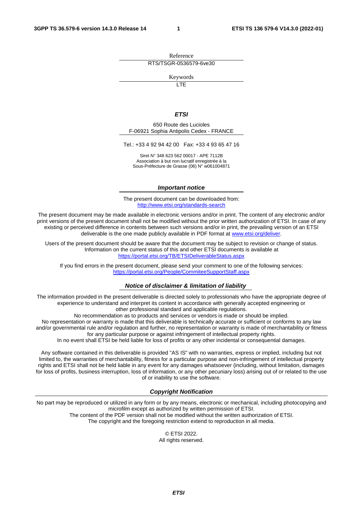Reference RTS/TSGR-0536579-6ve30

Keywords

 $\overline{\mathsf{ITF}}$ 

#### *ETSI*

650 Route des Lucioles F-06921 Sophia Antipolis Cedex - FRANCE

Tel.: +33 4 92 94 42 00 Fax: +33 4 93 65 47 16

Siret N° 348 623 562 00017 - APE 7112B Association à but non lucratif enregistrée à la Sous-Préfecture de Grasse (06) N° w061004871

#### *Important notice*

The present document can be downloaded from: <http://www.etsi.org/standards-search>

The present document may be made available in electronic versions and/or in print. The content of any electronic and/or print versions of the present document shall not be modified without the prior written authorization of ETSI. In case of any existing or perceived difference in contents between such versions and/or in print, the prevailing version of an ETSI deliverable is the one made publicly available in PDF format at [www.etsi.org/deliver](http://www.etsi.org/deliver).

Users of the present document should be aware that the document may be subject to revision or change of status. Information on the current status of this and other ETSI documents is available at <https://portal.etsi.org/TB/ETSIDeliverableStatus.aspx>

If you find errors in the present document, please send your comment to one of the following services: <https://portal.etsi.org/People/CommiteeSupportStaff.aspx>

#### *Notice of disclaimer & limitation of liability*

The information provided in the present deliverable is directed solely to professionals who have the appropriate degree of experience to understand and interpret its content in accordance with generally accepted engineering or other professional standard and applicable regulations.

No recommendation as to products and services or vendors is made or should be implied.

No representation or warranty is made that this deliverable is technically accurate or sufficient or conforms to any law and/or governmental rule and/or regulation and further, no representation or warranty is made of merchantability or fitness for any particular purpose or against infringement of intellectual property rights.

In no event shall ETSI be held liable for loss of profits or any other incidental or consequential damages.

Any software contained in this deliverable is provided "AS IS" with no warranties, express or implied, including but not limited to, the warranties of merchantability, fitness for a particular purpose and non-infringement of intellectual property rights and ETSI shall not be held liable in any event for any damages whatsoever (including, without limitation, damages for loss of profits, business interruption, loss of information, or any other pecuniary loss) arising out of or related to the use of or inability to use the software.

#### *Copyright Notification*

No part may be reproduced or utilized in any form or by any means, electronic or mechanical, including photocopying and microfilm except as authorized by written permission of ETSI. The content of the PDF version shall not be modified without the written authorization of ETSI.

The copyright and the foregoing restriction extend to reproduction in all media.

© ETSI 2022. All rights reserved.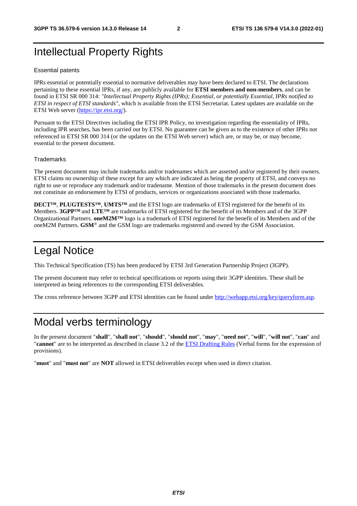### Intellectual Property Rights

#### Essential patents

IPRs essential or potentially essential to normative deliverables may have been declared to ETSI. The declarations pertaining to these essential IPRs, if any, are publicly available for **ETSI members and non-members**, and can be found in ETSI SR 000 314: *"Intellectual Property Rights (IPRs); Essential, or potentially Essential, IPRs notified to ETSI in respect of ETSI standards"*, which is available from the ETSI Secretariat. Latest updates are available on the ETSI Web server ([https://ipr.etsi.org/\)](https://ipr.etsi.org/).

Pursuant to the ETSI Directives including the ETSI IPR Policy, no investigation regarding the essentiality of IPRs, including IPR searches, has been carried out by ETSI. No guarantee can be given as to the existence of other IPRs not referenced in ETSI SR 000 314 (or the updates on the ETSI Web server) which are, or may be, or may become, essential to the present document.

#### **Trademarks**

The present document may include trademarks and/or tradenames which are asserted and/or registered by their owners. ETSI claims no ownership of these except for any which are indicated as being the property of ETSI, and conveys no right to use or reproduce any trademark and/or tradename. Mention of those trademarks in the present document does not constitute an endorsement by ETSI of products, services or organizations associated with those trademarks.

**DECT™**, **PLUGTESTS™**, **UMTS™** and the ETSI logo are trademarks of ETSI registered for the benefit of its Members. **3GPP™** and **LTE™** are trademarks of ETSI registered for the benefit of its Members and of the 3GPP Organizational Partners. **oneM2M™** logo is a trademark of ETSI registered for the benefit of its Members and of the oneM2M Partners. **GSM**® and the GSM logo are trademarks registered and owned by the GSM Association.

### Legal Notice

This Technical Specification (TS) has been produced by ETSI 3rd Generation Partnership Project (3GPP).

The present document may refer to technical specifications or reports using their 3GPP identities. These shall be interpreted as being references to the corresponding ETSI deliverables.

The cross reference between 3GPP and ETSI identities can be found under<http://webapp.etsi.org/key/queryform.asp>.

#### Modal verbs terminology

In the present document "**shall**", "**shall not**", "**should**", "**should not**", "**may**", "**need not**", "**will**", "**will not**", "**can**" and "**cannot**" are to be interpreted as described in clause 3.2 of the [ETSI Drafting Rules](https://portal.etsi.org/Services/editHelp!/Howtostart/ETSIDraftingRules.aspx) (Verbal forms for the expression of provisions).

"**must**" and "**must not**" are **NOT** allowed in ETSI deliverables except when used in direct citation.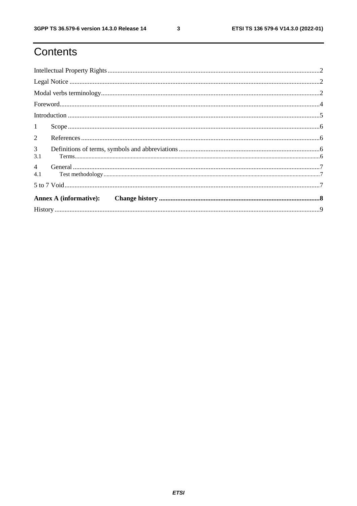$\mathbf{3}$ 

# Contents

| 1                     |  |  |  |
|-----------------------|--|--|--|
| $\overline{2}$        |  |  |  |
| $\overline{3}$<br>3.1 |  |  |  |
| $\overline{4}$<br>4.1 |  |  |  |
|                       |  |  |  |
|                       |  |  |  |
|                       |  |  |  |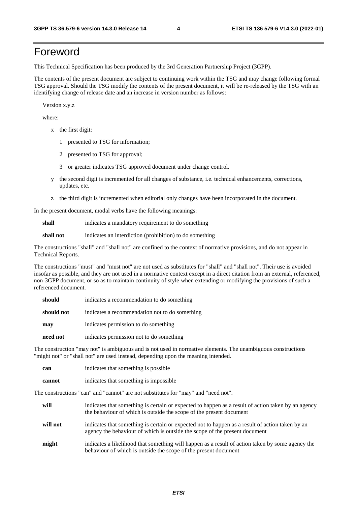### Foreword

This Technical Specification has been produced by the 3rd Generation Partnership Project (3GPP).

The contents of the present document are subject to continuing work within the TSG and may change following formal TSG approval. Should the TSG modify the contents of the present document, it will be re-released by the TSG with an identifying change of release date and an increase in version number as follows:

Version x.y.z

where:

- x the first digit:
	- 1 presented to TSG for information;
	- 2 presented to TSG for approval;
	- 3 or greater indicates TSG approved document under change control.
- y the second digit is incremented for all changes of substance, i.e. technical enhancements, corrections, updates, etc.
- z the third digit is incremented when editorial only changes have been incorporated in the document.

In the present document, modal verbs have the following meanings:

**shall** indicates a mandatory requirement to do something

**shall not** indicates an interdiction (prohibition) to do something

The constructions "shall" and "shall not" are confined to the context of normative provisions, and do not appear in Technical Reports.

The constructions "must" and "must not" are not used as substitutes for "shall" and "shall not". Their use is avoided insofar as possible, and they are not used in a normative context except in a direct citation from an external, referenced, non-3GPP document, or so as to maintain continuity of style when extending or modifying the provisions of such a referenced document.

| should     | indicates a recommendation to do something     |  |  |  |  |  |
|------------|------------------------------------------------|--|--|--|--|--|
| should not | indicates a recommendation not to do something |  |  |  |  |  |
| may        | indicates permission to do something           |  |  |  |  |  |
| need not   | indicates permission not to do something       |  |  |  |  |  |

The construction "may not" is ambiguous and is not used in normative elements. The unambiguous constructions "might not" or "shall not" are used instead, depending upon the meaning intended.

| can    | indicates that something is possible   |
|--------|----------------------------------------|
| cannot | indicates that something is impossible |

The constructions "can" and "cannot" are not substitutes for "may" and "need not".

| will     | indicates that something is certain or expected to happen as a result of action taken by an agency<br>the behaviour of which is outside the scope of the present document     |
|----------|-------------------------------------------------------------------------------------------------------------------------------------------------------------------------------|
| will not | indicates that something is certain or expected not to happen as a result of action taken by an<br>agency the behaviour of which is outside the scope of the present document |
| might    | indicates a likelihood that something will happen as a result of action taken by some agency the<br>behaviour of which is outside the scope of the present document           |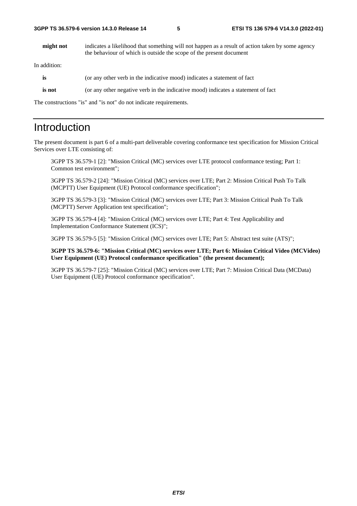**might not** indicates a likelihood that something will not happen as a result of action taken by some agency the behaviour of which is outside the scope of the present document

In addition:

| is     | (or any other verb in the indicative mood) indicates a statement of fact          |
|--------|-----------------------------------------------------------------------------------|
| is not | (or any other negative verb in the indicative mood) indicates a statement of fact |

The constructions "is" and "is not" do not indicate requirements.

#### Introduction

The present document is part 6 of a multi-part deliverable covering conformance test specification for Mission Critical Services over LTE consisting of:

 3GPP TS 36.579-1 [2]: "Mission Critical (MC) services over LTE protocol conformance testing; Part 1: Common test environment";

3GPP TS 36.579-2 [24]: "Mission Critical (MC) services over LTE; Part 2: Mission Critical Push To Talk (MCPTT) User Equipment (UE) Protocol conformance specification";

 3GPP TS 36.579-3 [3]: "Mission Critical (MC) services over LTE; Part 3: Mission Critical Push To Talk (MCPTT) Server Application test specification";

 3GPP TS 36.579-4 [4]: "Mission Critical (MC) services over LTE; Part 4: Test Applicability and Implementation Conformance Statement (ICS)";

3GPP TS 36.579-5 [5]: "Mission Critical (MC) services over LTE; Part 5: Abstract test suite (ATS)";

**3GPP TS 36.579-6: "Mission Critical (MC) services over LTE; Part 6: Mission Critical Video (MCVideo) User Equipment (UE) Protocol conformance specification" (the present document);** 

 3GPP TS 36.579-7 [25]: "Mission Critical (MC) services over LTE; Part 7: Mission Critical Data (MCData) User Equipment (UE) Protocol conformance specification".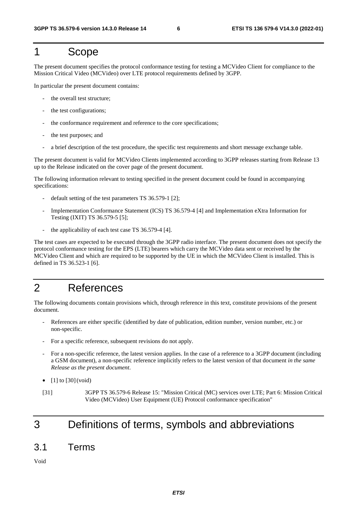#### 1 Scope

The present document specifies the protocol conformance testing for testing a MCVideo Client for compliance to the Mission Critical Video (MCVideo) over LTE protocol requirements defined by 3GPP.

In particular the present document contains:

- the overall test structure:
- the test configurations;
- the conformance requirement and reference to the core specifications;
- the test purposes; and
- a brief description of the test procedure, the specific test requirements and short message exchange table.

The present document is valid for MCVideo Clients implemented according to 3GPP releases starting from Release 13 up to the Release indicated on the cover page of the present document.

The following information relevant to testing specified in the present document could be found in accompanying specifications:

- default setting of the test parameters TS 36.579-1 [2];
- Implementation Conformance Statement (ICS) TS 36.579-4 [4] and Implementation eXtra Information for Testing (IXIT) TS 36.579-5 [5];
- the applicability of each test case TS 36.579-4 [4].

The test cases are expected to be executed through the 3GPP radio interface. The present document does not specify the protocol conformance testing for the EPS (LTE) bearers which carry the MCVideo data sent or received by the MCVideo Client and which are required to be supported by the UE in which the MCVideo Client is installed. This is defined in TS 36.523-1 [6].

### 2 References

The following documents contain provisions which, through reference in this text, constitute provisions of the present document.

- References are either specific (identified by date of publication, edition number, version number, etc.) or non-specific.
- For a specific reference, subsequent revisions do not apply.
- For a non-specific reference, the latest version applies. In the case of a reference to a 3GPP document (including a GSM document), a non-specific reference implicitly refers to the latest version of that document *in the same Release as the present document*.
- $[1]$  to  $[30]$  (void)
- [31] 3GPP TS 36.579-6 Release 15: "Mission Critical (MC) services over LTE; Part 6: Mission Critical Video (MCVideo) User Equipment (UE) Protocol conformance specification"

### 3 Definitions of terms, symbols and abbreviations

#### 3.1 Terms

Void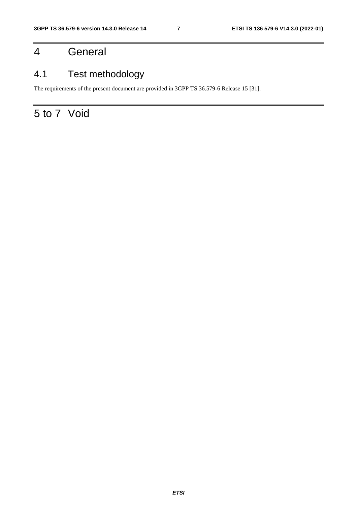## 4 General

### 4.1 Test methodology

The requirements of the present document are provided in 3GPP TS 36.579-6 Release 15 [31].

# 5 to 7 Void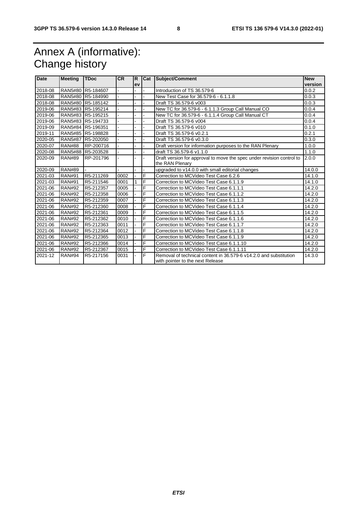# Annex A (informative): Change history

| <b>Date</b> | <b>Meeting</b> | <b>TDoc</b> | <b>CR</b> | R. |   | Cat Subject/Comment                                                   | <b>New</b> |
|-------------|----------------|-------------|-----------|----|---|-----------------------------------------------------------------------|------------|
|             |                |             |           | ev |   |                                                                       | version    |
| 2018-08     | <b>RAN5#80</b> | R5-184607   |           |    |   | Introduction of TS 36.579-6                                           | 0.0.2      |
| 2018-08     | <b>RAN5#80</b> | R5-184990   |           |    |   | New Test Case for 36.579-6 - 6.1.1.8                                  | 0.0.3      |
| 2018-08     | <b>RAN5#80</b> | R5-185142   |           |    |   | Draft TS 36.579-6 v003                                                | 0.0.3      |
| 2019-06     | RAN5#83        | R5-195214   |           |    |   | New TC for 36.579-6 - 6.1.1.3 Group Call Manual CO                    | 0.0.4      |
| 2019-06     | <b>RAN5#83</b> | R5-195215   |           |    |   | New TC for 36.579-6 - 6.1.1.4 Group Call Manual CT                    | 0.0.4      |
| 2019-06     | RAN5#83        | R5-194733   |           |    |   | Draft TS 36.579-6 v004                                                | 0.0.4      |
| 2019-09     | <b>RAN5#84</b> | R5-196351   |           |    |   | Draft TS 36.579-6 v010                                                | 0.1.0      |
| 2019-11     | <b>RAN5#85</b> | R5-198828   |           |    |   | Draft TS 36.579-6 v0.2.1                                              | 0.2.1      |
| 2020-05     | <b>RAN5#87</b> | R5-202050   |           |    |   | Draft TS 36.579-6 v0.3.0                                              | 0.3.0      |
| 2020-07     | <b>RAN#88</b>  | RP-200716   |           |    |   | Draft version for information purposes to the RAN Plenary             | 1.0.0      |
| 2020-08     | <b>RAN5#88</b> | R5-203528   |           |    |   | draft TS 36.579-6 v1.1.0                                              | 1.1.0      |
| 2020-09     | <b>RAN#89</b>  | RP-201796   |           |    |   | Draft version for approval to move the spec under revision control to | 2.0.0      |
|             |                |             |           |    |   | the RAN Plenary                                                       |            |
| 2020-09     | <b>RAN#89</b>  |             |           |    |   | upgraded to v14.0.0 with small editorial changes                      | 14.0.0     |
| 2021-03     | <b>RAN#91</b>  | R5-211269   | 0002      |    | F | Correction to MCVideo Test Case 6.2.6                                 | 14.1.0     |
| 2021-03     | <b>RAN#91</b>  | R5-211546   | 0001      | 1  | F | Correction to MCVideo Test Case 6.1.1.9                               | 14.1.0     |
| 2021-06     | <b>RAN#92</b>  | R5-212357   | 0005      |    | F | Correction to MCVideo Test Case 6.1.1.1                               | 14.2.0     |
| 2021-06     | <b>RAN#92</b>  | R5-212358   | 0006      |    | F | Correction to MCVideo Test Case 6.1.1.2                               | 14.2.0     |
| 2021-06     | <b>RAN#92</b>  | R5-212359   | 0007      |    | F | Correction to MCVideo Test Case 6.1.1.3                               | 14.2.0     |
| 2021-06     | <b>RAN#92</b>  | R5-212360   | 0008      |    | F | Correction to MCVideo Test Case 6.1.1.4                               | 14.2.0     |
| 2021-06     | <b>RAN#92</b>  | R5-212361   | 0009      |    | F | Correction to MCVideo Test Case 6.1.1.5                               | 14.2.0     |
| 2021-06     | <b>RAN#92</b>  | R5-212362   | 0010      |    | F | Correction to MCVideo Test Case 6.1.1.6                               | 14.2.0     |
| 2021-06     | <b>RAN#92</b>  | R5-212363   | 0011      |    | F | Correction to MCVideo Test Case 6.1.1.7                               | 14.2.0     |
| 2021-06     | <b>RAN#92</b>  | R5-212364   | 0012      |    | F | Correction to MCVideo Test Case 6.1.1.8                               | 14.2.0     |
| 2021-06     | <b>RAN#92</b>  | R5-212365   | 0013      |    | F | Correction to MCVideo Test Case 6.1.1.9                               | 14.2.0     |
| 2021-06     | <b>RAN#92</b>  | R5-212366   | 0014      |    | F | Correction to MCVideo Test Case 6.1.1.10                              | 14.2.0     |
| 2021-06     | <b>RAN#92</b>  | R5-212367   | 0015      |    | F | Correction to MCVideo Test Case 6.1.1.11                              | 14.2.0     |
| 2021-12     | <b>RAN#94</b>  | R5-217156   | 0031      |    | F | Removal of technical content in 36.579-6 v14.2.0 and substitution     | 14.3.0     |
|             |                |             |           |    |   | with pointer to the next Release                                      |            |